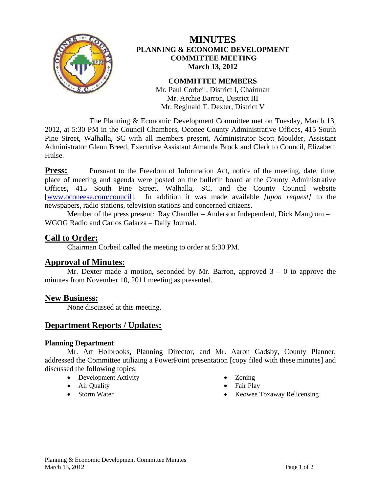

# **MINUTES PLANNING & ECONOMIC DEVELOPMENT COMMITTEE MEETING March 13, 2012**

#### **COMMITTEE MEMBERS**

Mr. Paul Corbeil, District I, Chairman Mr. Archie Barron, District III Mr. Reginald T. Dexter, District V

 The Planning & Economic Development Committee met on Tuesday, March 13, 2012, at 5:30 PM in the Council Chambers, Oconee County Administrative Offices, 415 South Pine Street, Walhalla, SC with all members present, Administrator Scott Moulder, Assistant Administrator Glenn Breed, Executive Assistant Amanda Brock and Clerk to Council, Elizabeth Hulse.

**Press:** Pursuant to the Freedom of Information Act, notice of the meeting, date, time, place of meeting and agenda were posted on the bulletin board at the County Administrative Offices, 415 South Pine Street, Walhalla, SC, and the County Council website [www.oconeese.com/council]. In addition it was made available *[upon request]* to the newspapers, radio stations, television stations and concerned citizens.

Member of the press present: Ray Chandler – Anderson Independent, Dick Mangrum – WGOG Radio and Carlos Galarza – Daily Journal.

## **Call to Order:**

Chairman Corbeil called the meeting to order at 5:30 PM.

### **Approval of Minutes:**

Mr. Dexter made a motion, seconded by Mr. Barron, approved  $3 - 0$  to approve the minutes from November 10, 2011 meeting as presented.

### **New Business:**

None discussed at this meeting.

## **Department Reports / Updates:**

#### **Planning Department**

 Mr. Art Holbrooks, Planning Director, and Mr. Aaron Gadsby, County Planner, addressed the Committee utilizing a PowerPoint presentation [copy filed with these minutes] and discussed the following topics:

- Development Activity
- Air Quality
- Storm Water
- Zoning
- Fair Play
- Keowee Toxaway Relicensing